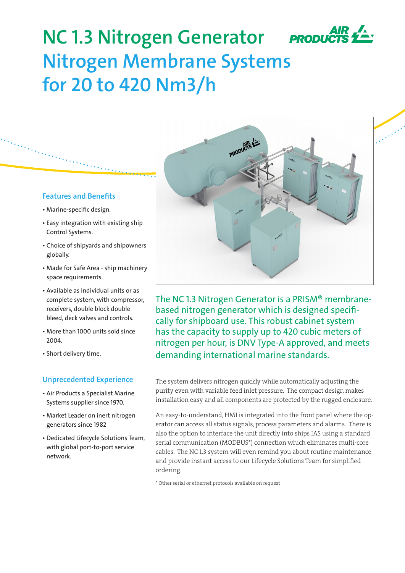

# **NC 1.3 Nitrogen Generator Nitrogen Membrane Systems for 20 to 420 Nm3/h**

# **Features and Benefits**

- Marine-specific design.
- Easy integration with existing ship Control Systems.
- Choice of shipyards and shipowners globally.
- Made for Safe Area ship machinery space requirements.
- Available as individual units or as complete system, with compressor, receivers, double block double bleed, deck valves and controls.
- More than 1000 units sold since 2004.
- Short delivery time.

# **Unprecedented Experience**

- Air Products a Specialist Marine Systems supplier since 1970.
- Market Leader on inert nitrogen generators since 1982
- Dedicated Lifecycle Solutions Team, with global port-to-port service network.



The NC 1.3 Nitrogen Generator is a PRISM® membranebased nitrogen generator which is designed specifically for shipboard use. This robust cabinet system has the capacity to supply up to 420 cubic meters of nitrogen per hour, is DNV Type-A approved, and meets demanding international marine standards.

The system delivers nitrogen quickly while automatically adjusting the purity even with variable feed inlet pressure. The compact design makes installation easy and all components are protected by the rugged enclosure.

An easy-to-understand, HMI is integrated into the front panel where the operator can access all status signals, process parameters and alarms. There is also the option to interface the unit directly into ships IAS using a standard serial communication (MODBUS\*) connection which eliminates multi-core cables. The NC 1.3 system will even remind you about routine maintenance and provide instant access to our Lifecycle Solutions Team for simplified ordering.

\* Other serial or ethernet protocols available on request